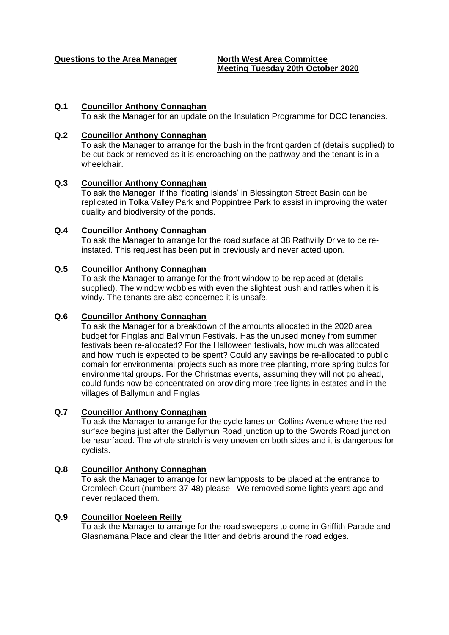**Questions to the Area Manager North West Area Committee**

# **Meeting Tuesday 20th October 2020**

## **Q.1 Councillor Anthony Connaghan**

To ask the Manager for an update on the Insulation Programme for DCC tenancies.

### **Q.2 Councillor Anthony Connaghan**

To ask the Manager to arrange for the bush in the front garden of (details supplied) to be cut back or removed as it is encroaching on the pathway and the tenant is in a wheelchair.

### **Q.3 Councillor Anthony Connaghan**

To ask the Manager if the 'floating islands' in Blessington Street Basin can be replicated in Tolka Valley Park and Poppintree Park to assist in improving the water quality and biodiversity of the ponds.

### **Q.4 Councillor Anthony Connaghan**

To ask the Manager to arrange for the road surface at 38 Rathvilly Drive to be reinstated. This request has been put in previously and never acted upon.

## **Q.5 Councillor Anthony Connaghan**

To ask the Manager to arrange for the front window to be replaced at (details supplied). The window wobbles with even the slightest push and rattles when it is windy. The tenants are also concerned it is unsafe.

### **Q.6 Councillor Anthony Connaghan**

To ask the Manager for a breakdown of the amounts allocated in the 2020 area budget for Finglas and Ballymun Festivals. Has the unused money from summer festivals been re-allocated? For the Halloween festivals, how much was allocated and how much is expected to be spent? Could any savings be re-allocated to public domain for environmental projects such as more tree planting, more spring bulbs for environmental groups. For the Christmas events, assuming they will not go ahead, could funds now be concentrated on providing more tree lights in estates and in the villages of Ballymun and Finglas.

### **Q.7 Councillor Anthony Connaghan**

To ask the Manager to arrange for the cycle lanes on Collins Avenue where the red surface begins just after the Ballymun Road junction up to the Swords Road junction be resurfaced. The whole stretch is very uneven on both sides and it is dangerous for cyclists.

## **Q.8 Councillor Anthony Connaghan**

To ask the Manager to arrange for new lampposts to be placed at the entrance to Cromlech Court (numbers 37-48) please. We removed some lights years ago and never replaced them.

## **Q.9 Councillor Noeleen Reilly**

To ask the Manager to arrange for the road sweepers to come in Griffith Parade and Glasnamana Place and clear the litter and debris around the road edges.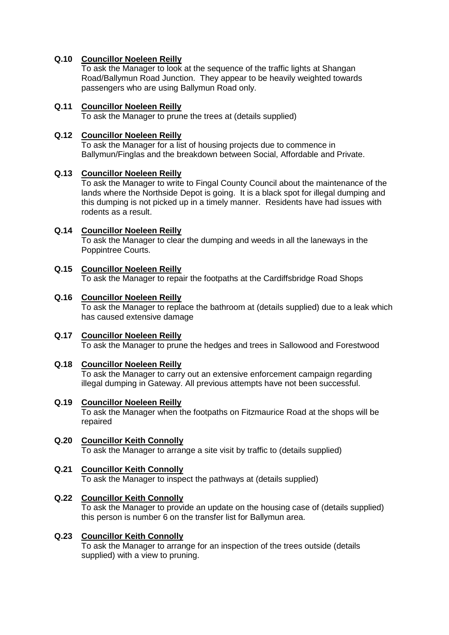# **Q.10 Councillor Noeleen Reilly**

To ask the Manager to look at the sequence of the traffic lights at Shangan Road/Ballymun Road Junction. They appear to be heavily weighted towards passengers who are using Ballymun Road only.

## **Q.11 Councillor Noeleen Reilly**

To ask the Manager to prune the trees at (details supplied)

# **Q.12 Councillor Noeleen Reilly**

To ask the Manager for a list of housing projects due to commence in Ballymun/Finglas and the breakdown between Social, Affordable and Private.

## **Q.13 Councillor Noeleen Reilly**

To ask the Manager to write to Fingal County Council about the maintenance of the lands where the Northside Depot is going. It is a black spot for illegal dumping and this dumping is not picked up in a timely manner. Residents have had issues with rodents as a result.

# **Q.14 Councillor Noeleen Reilly**

To ask the Manager to clear the dumping and weeds in all the laneways in the Poppintree Courts.

## **Q.15 Councillor Noeleen Reilly**

To ask the Manager to repair the footpaths at the Cardiffsbridge Road Shops

## **Q.16 Councillor Noeleen Reilly**

To ask the Manager to replace the bathroom at (details supplied) due to a leak which has caused extensive damage

## **Q.17 Councillor Noeleen Reilly**  To ask the Manager to prune the hedges and trees in Sallowood and Forestwood

## **Q.18 Councillor Noeleen Reilly**

To ask the Manager to carry out an extensive enforcement campaign regarding illegal dumping in Gateway. All previous attempts have not been successful.

## **Q.19 Councillor Noeleen Reilly**

To ask the Manager when the footpaths on Fitzmaurice Road at the shops will be repaired

#### **Q.20 Councillor Keith Connolly** To ask the Manager to arrange a site visit by traffic to (details supplied)

# **Q.21 Councillor Keith Connolly**

To ask the Manager to inspect the pathways at (details supplied)

## **Q.22 Councillor Keith Connolly**

To ask the Manager to provide an update on the housing case of (details supplied) this person is number 6 on the transfer list for Ballymun area.

## **Q.23 Councillor Keith Connolly**

To ask the Manager to arrange for an inspection of the trees outside (details supplied) with a view to pruning.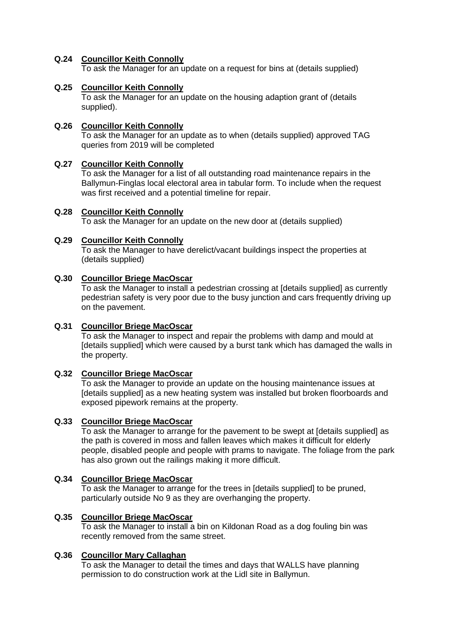## **Q.24 Councillor Keith Connolly**

To ask the Manager for an update on a request for bins at (details supplied)

## **Q.25 Councillor Keith Connolly**

To ask the Manager for an update on the housing adaption grant of (details supplied).

# **Q.26 Councillor Keith Connolly**

To ask the Manager for an update as to when (details supplied) approved TAG queries from 2019 will be completed

## **Q.27 Councillor Keith Connolly**

To ask the Manager for a list of all outstanding road maintenance repairs in the Ballymun-Finglas local electoral area in tabular form. To include when the request was first received and a potential timeline for repair.

## **Q.28 Councillor Keith Connolly**

To ask the Manager for an update on the new door at (details supplied)

## **Q.29 Councillor Keith Connolly**

To ask the Manager to have derelict/vacant buildings inspect the properties at (details supplied)

## **Q.30 Councillor Briege MacOscar**

To ask the Manager to install a pedestrian crossing at [details supplied] as currently pedestrian safety is very poor due to the busy junction and cars frequently driving up on the pavement.

## **Q.31 Councillor Briege MacOscar**

To ask the Manager to inspect and repair the problems with damp and mould at [details supplied] which were caused by a burst tank which has damaged the walls in the property.

## **Q.32 Councillor Briege MacOscar**

To ask the Manager to provide an update on the housing maintenance issues at [details supplied] as a new heating system was installed but broken floorboards and exposed pipework remains at the property.

### **Q.33 Councillor Briege MacOscar**

To ask the Manager to arrange for the pavement to be swept at [details supplied] as the path is covered in moss and fallen leaves which makes it difficult for elderly people, disabled people and people with prams to navigate. The foliage from the park has also grown out the railings making it more difficult.

## **Q.34 Councillor Briege MacOscar**

To ask the Manager to arrange for the trees in [details supplied] to be pruned, particularly outside No 9 as they are overhanging the property.

#### **Q.35 Councillor Briege MacOscar**

To ask the Manager to install a bin on Kildonan Road as a dog fouling bin was recently removed from the same street.

#### **Q.36 Councillor Mary Callaghan**

To ask the Manager to detail the times and days that WALLS have planning permission to do construction work at the Lidl site in Ballymun.